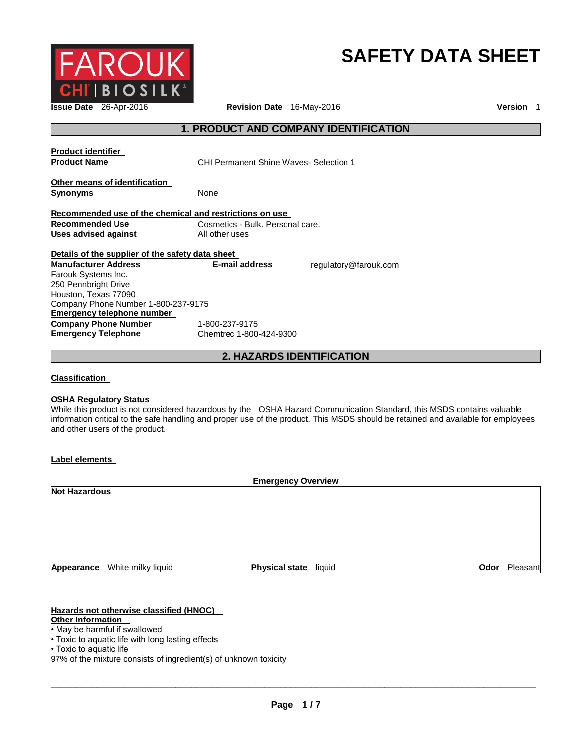

# **SAFETY DATA SHEET**

**Issue Date** 26-Apr-2016 **Revision Date** 16-May-2016 **Version** 1

# **1. PRODUCT AND COMPANY IDENTIFICATION**

| <b>Product identifier</b><br><b>Product Name</b>        | CHI Permanent Shine Waves- Selection 1 |                       |
|---------------------------------------------------------|----------------------------------------|-----------------------|
| Other means of identification<br><b>Synonyms</b>        | None                                   |                       |
| Recommended use of the chemical and restrictions on use |                                        |                       |
| Recommended Use                                         | Cosmetics - Bulk. Personal care.       |                       |
| Uses advised against                                    | All other uses                         |                       |
| Details of the supplier of the safety data sheet        |                                        |                       |
| <b>Manufacturer Address</b>                             | E-mail address                         | regulatory@farouk.com |
| Farouk Systems Inc.                                     |                                        |                       |
| 250 Pennbright Drive                                    |                                        |                       |
| Houston, Texas 77090                                    |                                        |                       |
| Company Phone Number 1-800-237-9175                     |                                        |                       |
| Emergency telephone number                              |                                        |                       |
| <b>Company Phone Number</b>                             | 1-800-237-9175                         |                       |
| <b>Emergency Telephone</b>                              | Chemtrec 1-800-424-9300                |                       |

**2. HAZARDS IDENTIFICATION** 

**Classification** 

#### **OSHA Regulatory Status**

While this product is not considered hazardous by the OSHA Hazard Communication Standard, this MSDS contains valuable information critical to the safe handling and proper use of the product. This MSDS should be retained and available for employees and other users of the product.

#### **Label elements**

|                      | <b>Emergency Overview</b> |                       |        |      |          |
|----------------------|---------------------------|-----------------------|--------|------|----------|
| <b>Not Hazardous</b> |                           |                       |        |      |          |
|                      |                           |                       |        |      |          |
|                      |                           |                       |        |      |          |
|                      |                           |                       |        |      |          |
|                      |                           |                       |        |      |          |
|                      |                           |                       |        |      |          |
| Appearance           | White milky liquid        | <b>Physical state</b> | liquid | Odor | Pleasant |

### **Hazards not otherwise classified (HNOC)**

#### **Other Information**

- May be harmful if swallowed
- Toxic to aquatic life with long lasting effects

<sup>•</sup> Toxic to aquatic life

<sup>97%</sup> of the mixture consists of ingredient(s) of unknown toxicity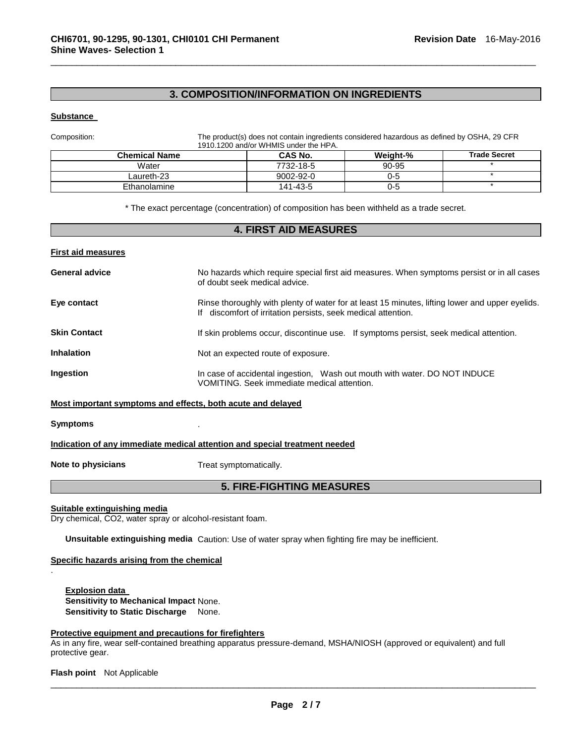# **3. COMPOSITION/INFORMATION ON INGREDIENTS**

\_\_\_\_\_\_\_\_\_\_\_\_\_\_\_\_\_\_\_\_\_\_\_\_\_\_\_\_\_\_\_\_\_\_\_\_\_\_\_\_\_\_\_\_\_\_\_\_\_\_\_\_\_\_\_\_\_\_\_\_\_\_\_\_\_\_\_\_\_\_\_\_\_\_\_\_\_\_\_\_\_\_\_\_\_\_\_\_\_\_\_\_\_

#### **Substance**

Composition: The product(s) does not contain ingredients considered hazardous as defined by OSHA, 29 CFR 1910.1200 and/or WHMIS under the HPA.

| <b>Chemical Name</b> | <b>CAS No.</b> | Weight-% | <b>Trade Secret</b> |
|----------------------|----------------|----------|---------------------|
| Water                | 7732-18-5      | 90-95    |                     |
| Laureth-23           | 9002-92-0      | 0-5      |                     |
| Ethanolamine         | 141-43-5       | 0-5      |                     |

\* The exact percentage (concentration) of composition has been withheld as a trade secret.

# **4. FIRST AID MEASURES First aid measures General advice** No hazards which require special first aid measures. When symptoms persist or in all cases of doubt seek medical advice. **Eye contact Rinse thoroughly with plenty of water for at least 15 minutes, lifting lower and upper eyelids.** If discomfort of irritation persists, seek medical attention. **Skin Contact If skin problems occur, discontinue use.** If symptoms persist, seek medical attention. **Inhalation Inhalation Not an expected route of exposure. Ingestion In case of accidental ingestion, Wash out mouth with water. DO NOT INDUCE** VOMITING. Seek immediate medical attention. **Most important symptoms and effects, both acute and delayed Symptoms** . **Indication of any immediate medical attention and special treatment needed Note to physicians Treat symptomatically.**

# **5. FIRE-FIGHTING MEASURES**

**Suitable extinguishing media**

.

Dry chemical, CO2, water spray or alcohol-resistant foam.

**Unsuitable extinguishing media** Caution: Use of water spray when fighting fire may be inefficient.

#### **Specific hazards arising from the chemical**

**Explosion data Sensitivity to Mechanical Impact** None. **Sensitivity to Static Discharge** None.

#### **Protective equipment and precautions for firefighters**

As in any fire, wear self-contained breathing apparatus pressure-demand, MSHA/NIOSH (approved or equivalent) and full protective gear.

**Flash point** Not Applicable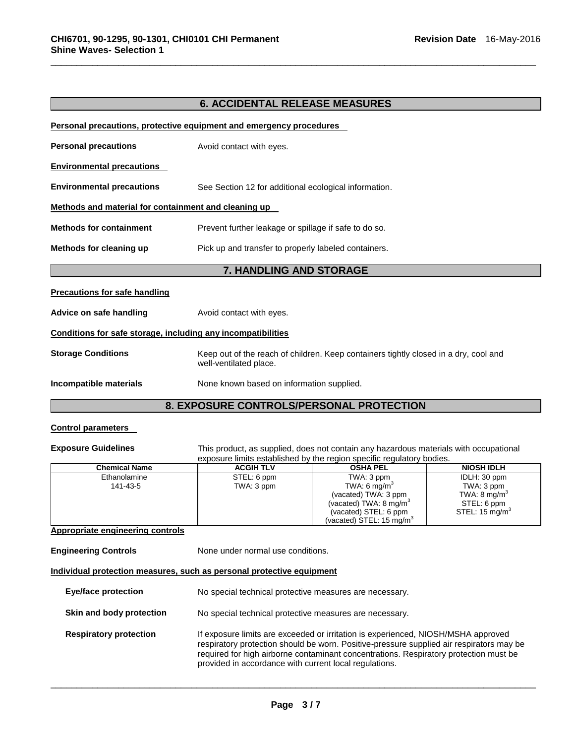# **6. ACCIDENTAL RELEASE MEASURES**

\_\_\_\_\_\_\_\_\_\_\_\_\_\_\_\_\_\_\_\_\_\_\_\_\_\_\_\_\_\_\_\_\_\_\_\_\_\_\_\_\_\_\_\_\_\_\_\_\_\_\_\_\_\_\_\_\_\_\_\_\_\_\_\_\_\_\_\_\_\_\_\_\_\_\_\_\_\_\_\_\_\_\_\_\_\_\_\_\_\_\_\_\_

|                                                              | <b>Personal precautions, protective equipment and emergency procedures</b>                                     |
|--------------------------------------------------------------|----------------------------------------------------------------------------------------------------------------|
| <b>Personal precautions</b>                                  | Avoid contact with eyes.                                                                                       |
| <b>Environmental precautions</b>                             |                                                                                                                |
| <b>Environmental precautions</b>                             | See Section 12 for additional ecological information.                                                          |
| Methods and material for containment and cleaning up         |                                                                                                                |
| <b>Methods for containment</b>                               | Prevent further leakage or spillage if safe to do so.                                                          |
| Methods for cleaning up                                      | Pick up and transfer to properly labeled containers.                                                           |
|                                                              |                                                                                                                |
|                                                              | 7. HANDLING AND STORAGE                                                                                        |
| <b>Precautions for safe handling</b>                         |                                                                                                                |
| Advice on safe handling                                      | Avoid contact with eyes.                                                                                       |
| Conditions for safe storage, including any incompatibilities |                                                                                                                |
| <b>Storage Conditions</b>                                    | Keep out of the reach of children. Keep containers tightly closed in a dry, cool and<br>well-ventilated place. |

# **8. EXPOSURE CONTROLS/PERSONAL PROTECTION**

## **Control parameters**

**Exposure Guidelines** This product, as supplied, does not contain any hazardous materials with occupational exposure limits established by the region specific regulatory bodies.

| <b>Chemical Name</b> | <b>ACGIH TLV</b> | <b>OSHA PEL</b>                   | <b>NIOSH IDLH</b>          |
|----------------------|------------------|-----------------------------------|----------------------------|
| Ethanolamine         | STEL: 6 ppm      | TWA: 3 ppm                        | IDLH: 30 ppm               |
| 141-43-5             | TWA: 3 ppm       | TWA: 6 mg/m <sup>3</sup>          | TWA: 3 ppm                 |
|                      |                  | (vacated) TWA: 3 ppm              | TWA: $8 \text{ mg/m}^3$    |
|                      |                  | (vacated) TWA: $8 \text{ mg/m}^3$ | STEL: 6 ppm                |
|                      |                  | (vacated) STEL: 6 ppm             | STEL: 15 mg/m <sup>3</sup> |
|                      |                  | (vacated) STEL: 15 mg/m $3$       |                            |

#### **Appropriate engineering controls**

**Engineering Controls None under normal use conditions.** 

**Individual protection measures, such as personal protective equipment**

| <b>Eye/face protection</b>    | No special technical protective measures are necessary.                                                                                                                                                                                                                                                                          |
|-------------------------------|----------------------------------------------------------------------------------------------------------------------------------------------------------------------------------------------------------------------------------------------------------------------------------------------------------------------------------|
| Skin and body protection      | No special technical protective measures are necessary.                                                                                                                                                                                                                                                                          |
| <b>Respiratory protection</b> | If exposure limits are exceeded or irritation is experienced, NIOSH/MSHA approved<br>respiratory protection should be worn. Positive-pressure supplied air respirators may be<br>required for high airborne contaminant concentrations. Respiratory protection must be<br>provided in accordance with current local regulations. |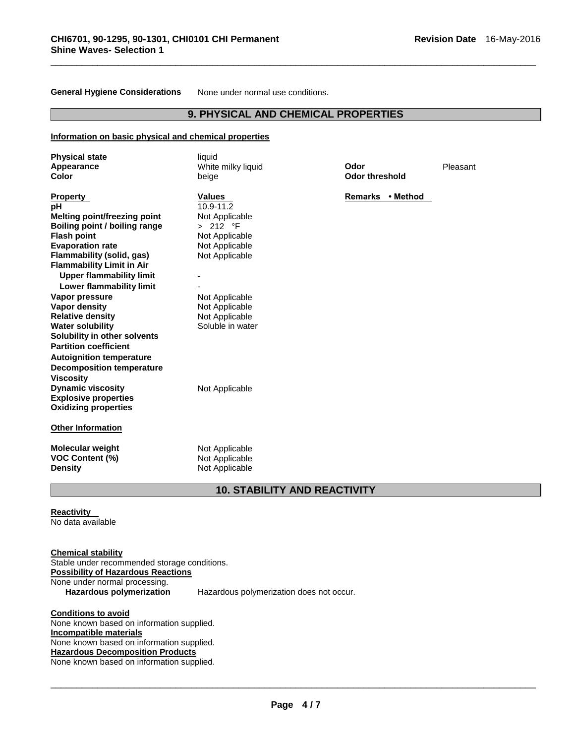**General Hygiene Considerations** None under normal use conditions.

# **9. PHYSICAL AND CHEMICAL PROPERTIES**

\_\_\_\_\_\_\_\_\_\_\_\_\_\_\_\_\_\_\_\_\_\_\_\_\_\_\_\_\_\_\_\_\_\_\_\_\_\_\_\_\_\_\_\_\_\_\_\_\_\_\_\_\_\_\_\_\_\_\_\_\_\_\_\_\_\_\_\_\_\_\_\_\_\_\_\_\_\_\_\_\_\_\_\_\_\_\_\_\_\_\_\_\_

#### **Information on basic physical and chemical properties**

| <b>Physical state</b><br>Appearance<br>Color                                                                                                                                                                                                     | liquid<br>White milky liquid<br>beige                                                        | Odor<br><b>Odor threshold</b> | Pleasant |
|--------------------------------------------------------------------------------------------------------------------------------------------------------------------------------------------------------------------------------------------------|----------------------------------------------------------------------------------------------|-------------------------------|----------|
| <b>Property</b><br>рH<br>Melting point/freezing point<br>Boiling point / boiling range<br><b>Flash point</b><br><b>Evaporation rate</b>                                                                                                          | <b>Values</b><br>10.9-11.2<br>Not Applicable<br>> 212 °F<br>Not Applicable<br>Not Applicable | Remarks • Method              |          |
| Flammability (solid, gas)<br><b>Flammability Limit in Air</b>                                                                                                                                                                                    | Not Applicable                                                                               |                               |          |
| <b>Upper flammability limit</b><br>Lower flammability limit                                                                                                                                                                                      |                                                                                              |                               |          |
| Vapor pressure<br>Vapor density<br><b>Relative density</b><br><b>Water solubility</b><br>Solubility in other solvents<br><b>Partition coefficient</b><br><b>Autoignition temperature</b><br><b>Decomposition temperature</b><br><b>Viscosity</b> | Not Applicable<br>Not Applicable<br>Not Applicable<br>Soluble in water                       |                               |          |
| <b>Dynamic viscosity</b><br><b>Explosive properties</b><br><b>Oxidizing properties</b>                                                                                                                                                           | Not Applicable                                                                               |                               |          |
| <b>Other Information</b>                                                                                                                                                                                                                         |                                                                                              |                               |          |
| <b>Molecular weight</b><br><b>VOC Content (%)</b><br><b>Density</b>                                                                                                                                                                              | Not Applicable<br>Not Applicable<br>Not Applicable                                           |                               |          |
|                                                                                                                                                                                                                                                  | <b>10. STABILITY AND REACTIVITY</b>                                                          |                               |          |

#### **Reactivity**  No data available

**Chemical stability** Stable under recommended storage conditions. **Possibility of Hazardous Reactions** None under normal processing.<br>Hazardous polymerization **Hazardous polymerization** Hazardous polymerization does not occur.

**Conditions to avoid** None known based on information supplied. **Incompatible materials** None known based on information supplied. **Hazardous Decomposition Products** None known based on information supplied.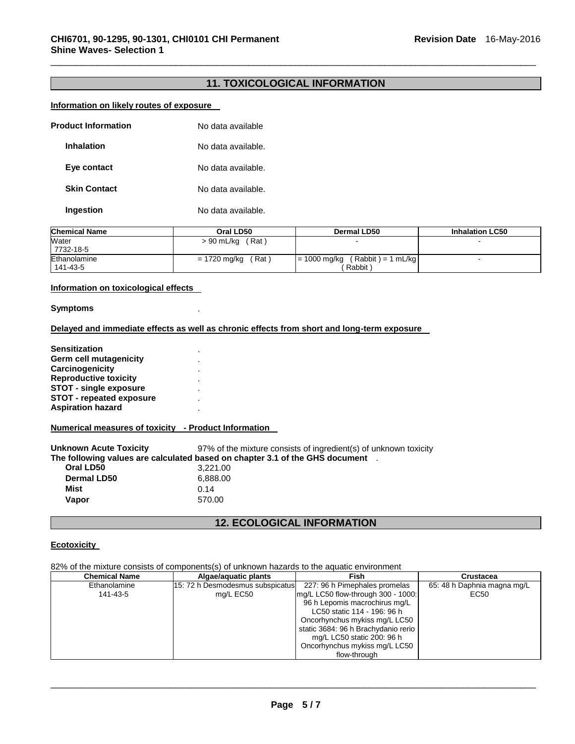# **11. TOXICOLOGICAL INFORMATION**

\_\_\_\_\_\_\_\_\_\_\_\_\_\_\_\_\_\_\_\_\_\_\_\_\_\_\_\_\_\_\_\_\_\_\_\_\_\_\_\_\_\_\_\_\_\_\_\_\_\_\_\_\_\_\_\_\_\_\_\_\_\_\_\_\_\_\_\_\_\_\_\_\_\_\_\_\_\_\_\_\_\_\_\_\_\_\_\_\_\_\_\_\_

#### **Information on likely routes of exposure**

| <b>Product Information</b> | No data available  |
|----------------------------|--------------------|
| <b>Inhalation</b>          | No data available. |
| Eye contact                | No data available. |
| <b>Skin Contact</b>        | No data available. |
| Ingestion                  | No data available. |

| <b>Chemical Name</b>     | Oral LD50              | <b>Dermal LD50</b>                                | <b>Inhalation LC50</b> |
|--------------------------|------------------------|---------------------------------------------------|------------------------|
| Water<br>7732-18-5       | > 90 mL/kg<br>(Rat)    |                                                   |                        |
| Ethanolamine<br>141-43-5 | (Rat ˈ<br>= 1720 mg/kg | $(Rabbit) = 1 mL/kg$<br>$= 1000$ mg/kg<br>Rabbit) |                        |

#### **Information on toxicological effects**

**Symptoms** .

#### **Delayed and immediate effects as well as chronic effects from short and long-term exposure**

**Sensitization** . **Germ cell mutagenicity** . **Carcinogenicity** . **Reproductive toxicity** . **STOT - single exposure** . **STOT - repeated exposure** . **Aspiration hazard** .

**Numerical measures of toxicity - Product Information** 

**Unknown Acute Toxicity** 97% of the mixture consists of ingredient(s) of unknown toxicity **The following values are calculated based on chapter 3.1 of the GHS document** . **Oral LD50** 3,221.00 **Dermal LD50** 6,888.00 **Mist** 0.14 **Vapor** 570.00

# **12. ECOLOGICAL INFORMATION**

#### **Ecotoxicity**

82% of the mixture consists of components(s) of unknown hazards to the aquatic environment

| <b>Chemical Name</b>     | Algae/aquatic plants                          | <b>Fish</b>                                                         | Crustacea                           |
|--------------------------|-----------------------------------------------|---------------------------------------------------------------------|-------------------------------------|
| Ethanolamine<br>141-43-5 | 15: 72 h Desmodesmus subspicatus<br>mg/L EC50 | 227: 96 h Pimephales promelas<br>mg/L LC50 flow-through 300 - 1000: | 65: 48 h Daphnia magna mg/L<br>EC50 |
|                          |                                               | 96 h Lepomis macrochirus mg/L<br>LC50 static 114 - 196: 96 h        |                                     |
|                          |                                               | Oncorhynchus mykiss mg/L LC50                                       |                                     |
|                          |                                               | static 3684: 96 h Brachydanio rerio                                 |                                     |
|                          |                                               | mg/L LC50 static 200: 96 h                                          |                                     |
|                          |                                               | Oncorhynchus mykiss mg/L LC50                                       |                                     |
|                          |                                               | flow-through                                                        |                                     |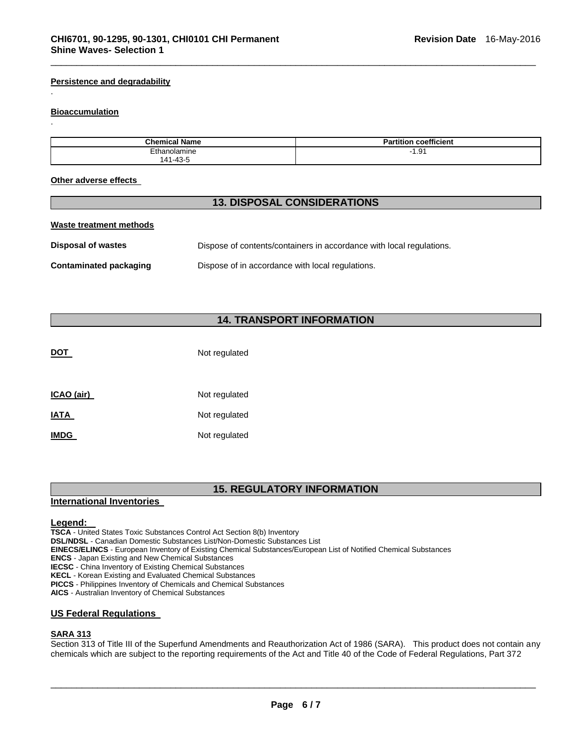#### **Persistence and degradability**

#### **Bioaccumulation**

.

.

| <b>Chemical Name</b> | <b>Partition coefficient</b>                |
|----------------------|---------------------------------------------|
| Ethanolamine         | $\overline{\phantom{a}}$<br>$\cdots$<br>1.9 |
| 141-43-5             |                                             |

\_\_\_\_\_\_\_\_\_\_\_\_\_\_\_\_\_\_\_\_\_\_\_\_\_\_\_\_\_\_\_\_\_\_\_\_\_\_\_\_\_\_\_\_\_\_\_\_\_\_\_\_\_\_\_\_\_\_\_\_\_\_\_\_\_\_\_\_\_\_\_\_\_\_\_\_\_\_\_\_\_\_\_\_\_\_\_\_\_\_\_\_\_

#### **Other adverse effects**

#### **13. DISPOSAL CONSIDERATIONS**

|  |  | Waste treatment methods |  |  |
|--|--|-------------------------|--|--|
|--|--|-------------------------|--|--|

| Disposal of wastes     | Dispose of contents/containers in accordance with local regulations. |
|------------------------|----------------------------------------------------------------------|
| Contaminated packaging | Dispose of in accordance with local regulations.                     |

# **14. TRANSPORT INFORMATION**

| <b>DOT</b>  | Not regulated |
|-------------|---------------|
| ICAO (air)  | Not regulated |
| <u>IATA</u> | Not regulated |
| <b>IMDG</b> | Not regulated |

### **15. REGULATORY INFORMATION**

#### **International Inventories**

#### **Legend:**

**TSCA** - United States Toxic Substances Control Act Section 8(b) Inventory **DSL/NDSL** - Canadian Domestic Substances List/Non-Domestic Substances List **EINECS/ELINCS** - European Inventory of Existing Chemical Substances/European List of Notified Chemical Substances **ENCS** - Japan Existing and New Chemical Substances **IECSC** - China Inventory of Existing Chemical Substances **KECL** - Korean Existing and Evaluated Chemical Substances **PICCS** - Philippines Inventory of Chemicals and Chemical Substances **AICS** - Australian Inventory of Chemical Substances

## **US Federal Regulations**

#### **SARA 313**

Section 313 of Title III of the Superfund Amendments and Reauthorization Act of 1986 (SARA). This product does not contain any chemicals which are subject to the reporting requirements of the Act and Title 40 of the Code of Federal Regulations, Part 372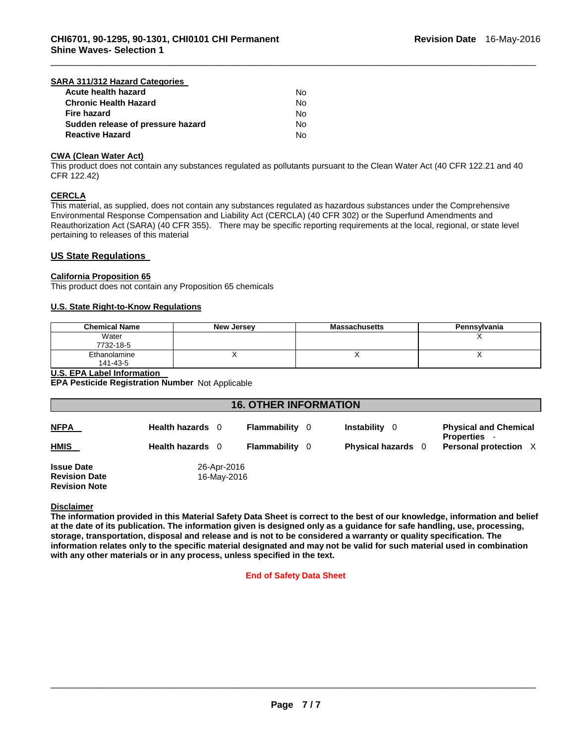#### **SARA 311/312 Hazard Categories**

| Acute health hazard               | N٥ |
|-----------------------------------|----|
| <b>Chronic Health Hazard</b>      | N٥ |
| <b>Fire hazard</b>                | N٥ |
| Sudden release of pressure hazard | Nο |
| <b>Reactive Hazard</b>            | N٥ |

#### **CWA (Clean Water Act)**

This product does not contain any substances regulated as pollutants pursuant to the Clean Water Act (40 CFR 122.21 and 40 CFR 122.42)

\_\_\_\_\_\_\_\_\_\_\_\_\_\_\_\_\_\_\_\_\_\_\_\_\_\_\_\_\_\_\_\_\_\_\_\_\_\_\_\_\_\_\_\_\_\_\_\_\_\_\_\_\_\_\_\_\_\_\_\_\_\_\_\_\_\_\_\_\_\_\_\_\_\_\_\_\_\_\_\_\_\_\_\_\_\_\_\_\_\_\_\_\_

#### **CERCLA**

This material, as supplied, does not contain any substances regulated as hazardous substances under the Comprehensive Environmental Response Compensation and Liability Act (CERCLA) (40 CFR 302) or the Superfund Amendments and Reauthorization Act (SARA) (40 CFR 355). There may be specific reporting requirements at the local, regional, or state level pertaining to releases of this material

#### **US State Regulations**

#### **California Proposition 65**

This product does not contain any Proposition 65 chemicals

#### **U.S. State Right-to-Know Regulations**

| <b>Chemical Name</b> | New Jersey | <b>Massachusetts</b> | Pennsylvania |
|----------------------|------------|----------------------|--------------|
| Water                |            |                      |              |
| 7732-18-5            |            |                      |              |
| Ethanolamine         |            | $\lambda$            |              |
| 141-43-5             |            |                      |              |

#### **U.S. EPA Label Information**

**EPA Pesticide Registration Number** Not Applicable

| <b>16. OTHER INFORMATION</b>                                                                    |                  |              |     |                           |                                                     |
|-------------------------------------------------------------------------------------------------|------------------|--------------|-----|---------------------------|-----------------------------------------------------|
| <b>NFPA</b>                                                                                     | Health hazards 0 | Flammability | - 0 | Instability<br>- 0        | <b>Physical and Chemical</b><br><b>Properties -</b> |
| <b>HMIS</b>                                                                                     | Health hazards 0 | Flammability | - 0 | <b>Physical hazards</b> 0 | Personal protection X                               |
| <b>Issue Date</b><br>26-Apr-2016<br><b>Revision Date</b><br>16-May-2016<br><b>Revision Note</b> |                  |              |     |                           |                                                     |

#### **Disclaimer**

**The information provided in this Material Safety Data Sheet is correct to the best of our knowledge, information and belief at the date of its publication. The information given is designed only as a guidance for safe handling, use, processing, storage, transportation, disposal and release and is not to be considered a warranty or quality specification. The information relates only to the specific material designated and may not be valid for such material used in combination with any other materials or in any process, unless specified in the text.** 

#### **End of Safety Data Sheet**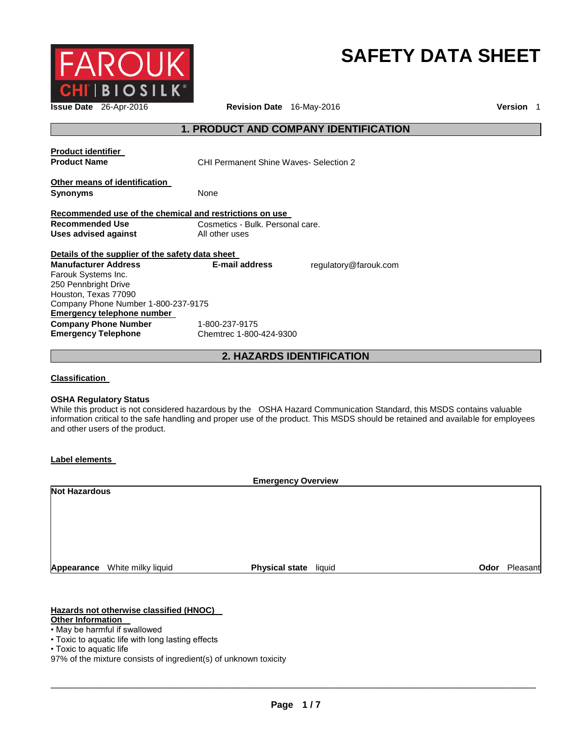

# **SAFETY DATA SHEET**

**Issue Date** 26-Apr-2016 **Revision Date** 16-May-2016 **Version** 1

# **1. PRODUCT AND COMPANY IDENTIFICATION**

| <b>Product identifier</b><br><b>Product Name</b>        | <b>CHI Permanent Shine Waves- Selection 2</b> |                       |
|---------------------------------------------------------|-----------------------------------------------|-----------------------|
| Other means of identification<br><b>Synonyms</b>        | None                                          |                       |
| Recommended use of the chemical and restrictions on use |                                               |                       |
| Recommended Use                                         | Cosmetics - Bulk. Personal care.              |                       |
| Uses advised against                                    | All other uses                                |                       |
| Details of the supplier of the safety data sheet        |                                               |                       |
| <b>Manufacturer Address</b>                             | E-mail address                                | regulatory@farouk.com |
| Farouk Systems Inc.                                     |                                               |                       |
| 250 Pennbright Drive                                    |                                               |                       |
| Houston, Texas 77090                                    |                                               |                       |
| Company Phone Number 1-800-237-9175                     |                                               |                       |
| Emergency telephone number                              |                                               |                       |
| <b>Company Phone Number</b>                             | 1-800-237-9175                                |                       |
| <b>Emergency Telephone</b>                              | Chemtrec 1-800-424-9300                       |                       |

**2. HAZARDS IDENTIFICATION** 

**Classification** 

#### **OSHA Regulatory Status**

While this product is not considered hazardous by the OSHA Hazard Communication Standard, this MSDS contains valuable information critical to the safe handling and proper use of the product. This MSDS should be retained and available for employees and other users of the product.

#### **Label elements**

| <b>Emergency Overview</b> |                               |                       |  |
|---------------------------|-------------------------------|-----------------------|--|
| <b>Not Hazardous</b>      |                               |                       |  |
|                           |                               |                       |  |
|                           |                               |                       |  |
|                           |                               |                       |  |
|                           |                               |                       |  |
|                           |                               |                       |  |
|                           |                               | Pleasant<br>Odor      |  |
|                           | Appearance White milky liquid | Physical state liquid |  |

### **Hazards not otherwise classified (HNOC)**

- **Other Information**
- May be harmful if swallowed
- Toxic to aquatic life with long lasting effects
- Toxic to aquatic life
- 97% of the mixture consists of ingredient(s) of unknown toxicity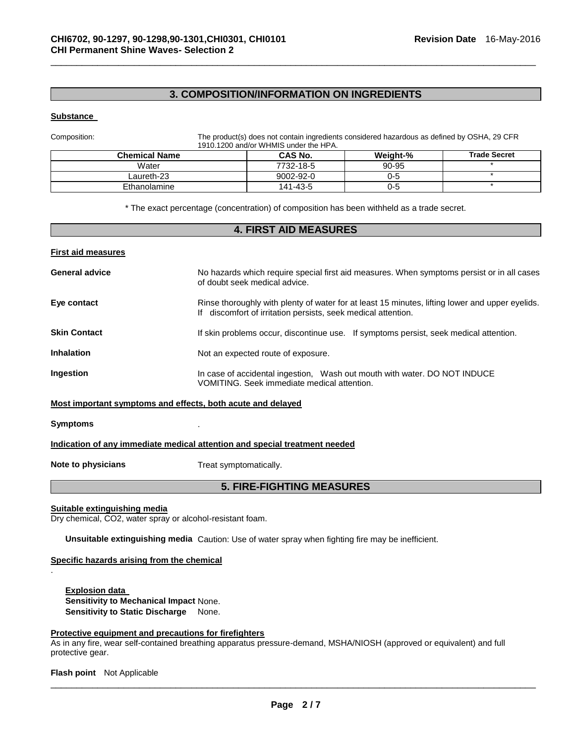# **3. COMPOSITION/INFORMATION ON INGREDIENTS**

\_\_\_\_\_\_\_\_\_\_\_\_\_\_\_\_\_\_\_\_\_\_\_\_\_\_\_\_\_\_\_\_\_\_\_\_\_\_\_\_\_\_\_\_\_\_\_\_\_\_\_\_\_\_\_\_\_\_\_\_\_\_\_\_\_\_\_\_\_\_\_\_\_\_\_\_\_\_\_\_\_\_\_\_\_\_\_\_\_\_\_\_\_

#### **Substance**

Composition: The product(s) does not contain ingredients considered hazardous as defined by OSHA, 29 CFR 1910.1200 and/or WHMIS under the HPA.

| <b>Chemical Name</b> | <b>CAS No.</b>  | Weight-% | <b>Trade Secret</b> |
|----------------------|-----------------|----------|---------------------|
| Water                | 7732-18-5       | 90-95    |                     |
| Laureth-23           | $9002 - 92 - 0$ | 0-5      |                     |
| Ethanolamine         | 141-43-5        | 0-5      |                     |

\* The exact percentage (concentration) of composition has been withheld as a trade secret.

# **4. FIRST AID MEASURES First aid measures General advice** No hazards which require special first aid measures. When symptoms persist or in all cases of doubt seek medical advice. **Eye contact Rinse thoroughly with plenty of water for at least 15 minutes, lifting lower and upper eyelids.** If discomfort of irritation persists, seek medical attention. **Skin Contact If skin problems occur, discontinue use.** If symptoms persist, seek medical attention. **Inhalation Inhalation Not an expected route of exposure. Ingestion In case of accidental ingestion, Wash out mouth with water. DO NOT INDUCE** VOMITING. Seek immediate medical attention. **Most important symptoms and effects, both acute and delayed Symptoms** . **Indication of any immediate medical attention and special treatment needed**

.

**Note to physicians Treat symptomatically.** 

### **5. FIRE-FIGHTING MEASURES**

**Suitable extinguishing media**

Dry chemical, CO2, water spray or alcohol-resistant foam.

**Unsuitable extinguishing media** Caution: Use of water spray when fighting fire may be inefficient.

#### **Specific hazards arising from the chemical**

**Explosion data Sensitivity to Mechanical Impact** None. **Sensitivity to Static Discharge** None.

#### **Protective equipment and precautions for firefighters**

As in any fire, wear self-contained breathing apparatus pressure-demand, MSHA/NIOSH (approved or equivalent) and full protective gear.

**Flash point** Not Applicable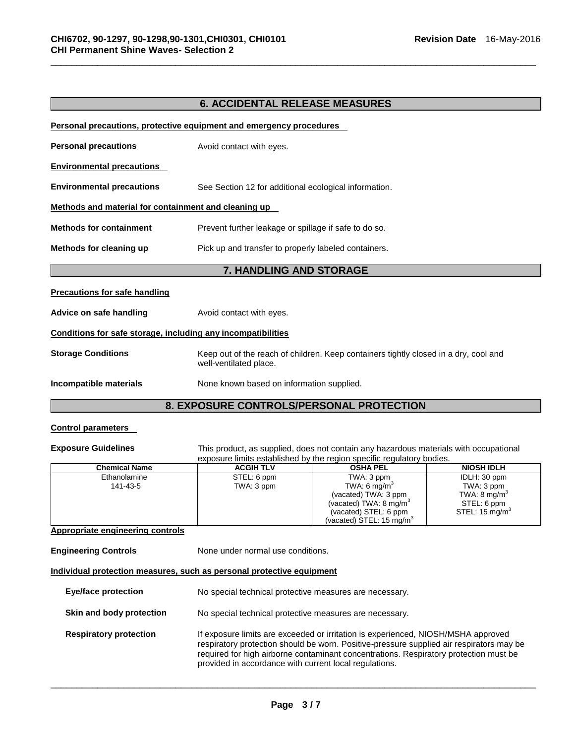# **6. ACCIDENTAL RELEASE MEASURES**

\_\_\_\_\_\_\_\_\_\_\_\_\_\_\_\_\_\_\_\_\_\_\_\_\_\_\_\_\_\_\_\_\_\_\_\_\_\_\_\_\_\_\_\_\_\_\_\_\_\_\_\_\_\_\_\_\_\_\_\_\_\_\_\_\_\_\_\_\_\_\_\_\_\_\_\_\_\_\_\_\_\_\_\_\_\_\_\_\_\_\_\_\_

| Personal precautions, protective equipment and emergency procedures |                                                                                                                |  |  |
|---------------------------------------------------------------------|----------------------------------------------------------------------------------------------------------------|--|--|
| <b>Personal precautions</b>                                         | Avoid contact with eyes.                                                                                       |  |  |
| <b>Environmental precautions</b>                                    |                                                                                                                |  |  |
| <b>Environmental precautions</b>                                    | See Section 12 for additional ecological information.                                                          |  |  |
| Methods and material for containment and cleaning up                |                                                                                                                |  |  |
| <b>Methods for containment</b>                                      | Prevent further leakage or spillage if safe to do so.                                                          |  |  |
| Methods for cleaning up                                             | Pick up and transfer to properly labeled containers.                                                           |  |  |
| 7. HANDLING AND STORAGE                                             |                                                                                                                |  |  |
|                                                                     |                                                                                                                |  |  |
| <b>Precautions for safe handling</b>                                |                                                                                                                |  |  |
| Advice on safe handling                                             | Avoid contact with eyes.                                                                                       |  |  |
| Conditions for safe storage, including any incompatibilities        |                                                                                                                |  |  |
| <b>Storage Conditions</b>                                           | Keep out of the reach of children. Keep containers tightly closed in a dry, cool and<br>well-ventilated place. |  |  |

# **8. EXPOSURE CONTROLS/PERSONAL PROTECTION**

## **Control parameters**

**Exposure Guidelines** This product, as supplied, does not contain any hazardous materials with occupational exposure limits established by the region specific regulatory bodies.

| <b>Chemical Name</b> | <b>ACGIH TLV</b> | <b>OSHA PEL</b>                      | <b>NIOSH IDLH</b>        |
|----------------------|------------------|--------------------------------------|--------------------------|
| Ethanolamine         | STEL: 6 ppm      | TWA: 3 ppm                           | IDLH: 30 ppm             |
| 141-43-5             | TWA: 3 ppm       | TWA: 6 mg/m <sup>3</sup>             | TWA: 3 ppm               |
|                      |                  | (vacated) TWA: 3 ppm                 | TWA: 8 mg/m <sup>3</sup> |
|                      |                  | (vacated) TWA: $8 \text{ mg/m}^3$    | STEL: 6 ppm              |
|                      |                  | (vacated) STEL: 6 ppm                | STEL: 15 mg/m $^{\circ}$ |
|                      |                  | (vacated) STEL: 15 mg/m <sup>3</sup> |                          |

#### **Appropriate engineering controls**

**Engineering Controls None under normal use conditions.** 

#### **Individual protection measures, such as personal protective equipment**

| Eye/face protection           | No special technical protective measures are necessary.                                                                                                                                                                                                                                                                          |
|-------------------------------|----------------------------------------------------------------------------------------------------------------------------------------------------------------------------------------------------------------------------------------------------------------------------------------------------------------------------------|
| Skin and body protection      | No special technical protective measures are necessary.                                                                                                                                                                                                                                                                          |
| <b>Respiratory protection</b> | If exposure limits are exceeded or irritation is experienced, NIOSH/MSHA approved<br>respiratory protection should be worn. Positive-pressure supplied air respirators may be<br>required for high airborne contaminant concentrations. Respiratory protection must be<br>provided in accordance with current local regulations. |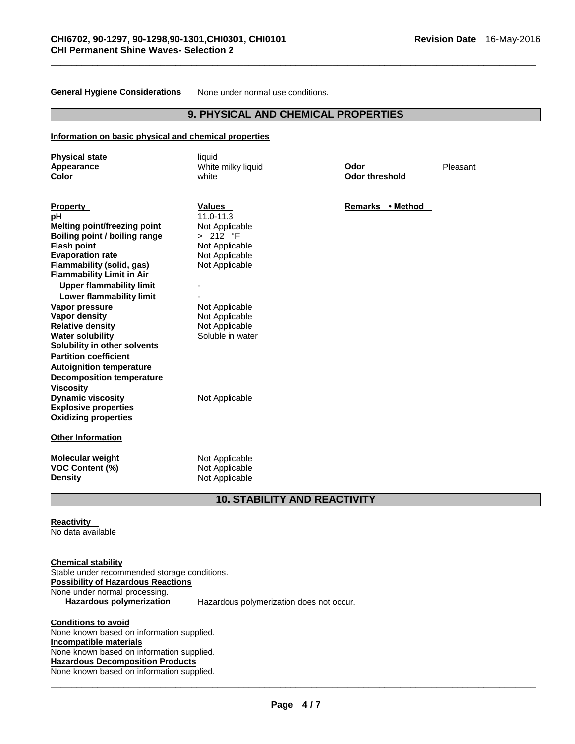**General Hygiene Considerations** None under normal use conditions.

# **9. PHYSICAL AND CHEMICAL PROPERTIES**

\_\_\_\_\_\_\_\_\_\_\_\_\_\_\_\_\_\_\_\_\_\_\_\_\_\_\_\_\_\_\_\_\_\_\_\_\_\_\_\_\_\_\_\_\_\_\_\_\_\_\_\_\_\_\_\_\_\_\_\_\_\_\_\_\_\_\_\_\_\_\_\_\_\_\_\_\_\_\_\_\_\_\_\_\_\_\_\_\_\_\_\_\_

#### **Information on basic physical and chemical properties**

| <b>Physical state</b><br>Appearance                           | liquid<br>White milky liquid     | Odor                  | Pleasant |
|---------------------------------------------------------------|----------------------------------|-----------------------|----------|
| <b>Color</b>                                                  | white                            | <b>Odor threshold</b> |          |
| <b>Property</b>                                               | <b>Values</b>                    | Remarks • Method      |          |
| pН                                                            | $11.0 - 11.3$                    |                       |          |
| Melting point/freezing point                                  | Not Applicable                   |                       |          |
| Boiling point / boiling range                                 | > 212 °F                         |                       |          |
| <b>Flash point</b><br><b>Evaporation rate</b>                 | Not Applicable                   |                       |          |
| Flammability (solid, gas)<br><b>Flammability Limit in Air</b> | Not Applicable<br>Not Applicable |                       |          |
| <b>Upper flammability limit</b><br>Lower flammability limit   |                                  |                       |          |
| Vapor pressure                                                | Not Applicable                   |                       |          |
| <b>Vapor density</b>                                          | Not Applicable                   |                       |          |
| <b>Relative density</b>                                       | Not Applicable                   |                       |          |
| <b>Water solubility</b>                                       | Soluble in water                 |                       |          |
| Solubility in other solvents                                  |                                  |                       |          |
| <b>Partition coefficient</b>                                  |                                  |                       |          |
| <b>Autoignition temperature</b>                               |                                  |                       |          |
| <b>Decomposition temperature</b>                              |                                  |                       |          |
| <b>Viscosity</b>                                              |                                  |                       |          |
| <b>Dynamic viscosity</b>                                      | Not Applicable                   |                       |          |
| <b>Explosive properties</b>                                   |                                  |                       |          |
| <b>Oxidizing properties</b>                                   |                                  |                       |          |
| <b>Other Information</b>                                      |                                  |                       |          |
| <b>Molecular weight</b>                                       | Not Applicable                   |                       |          |
| <b>VOC Content (%)</b>                                        | Not Applicable                   |                       |          |
| <b>Density</b>                                                | Not Applicable                   |                       |          |

### **10. STABILITY AND REACTIVITY**

**Reactivity**  No data available

**Chemical stability** Stable under recommended storage conditions. **Possibility of Hazardous Reactions** None under normal processing.<br>Hazardous polymerization **Hazardous polymerization** Hazardous polymerization does not occur.

**Conditions to avoid** None known based on information supplied. **Incompatible materials** None known based on information supplied. **Hazardous Decomposition Products** None known based on information supplied.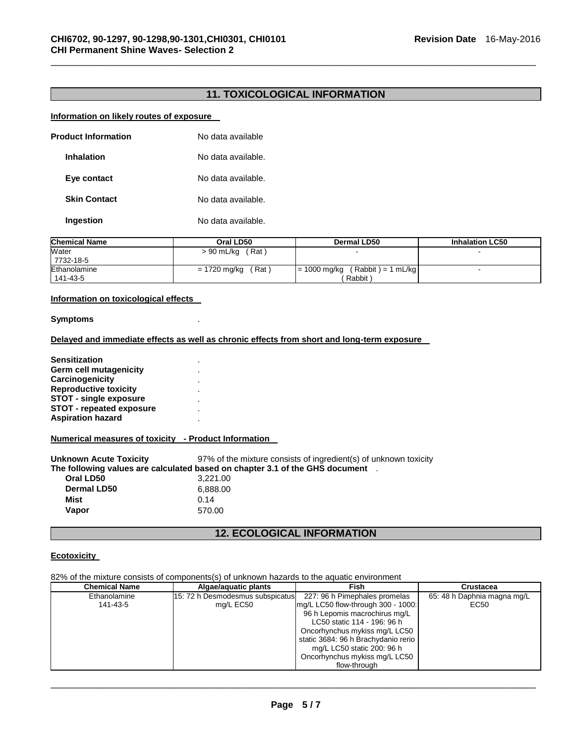# **11. TOXICOLOGICAL INFORMATION**

\_\_\_\_\_\_\_\_\_\_\_\_\_\_\_\_\_\_\_\_\_\_\_\_\_\_\_\_\_\_\_\_\_\_\_\_\_\_\_\_\_\_\_\_\_\_\_\_\_\_\_\_\_\_\_\_\_\_\_\_\_\_\_\_\_\_\_\_\_\_\_\_\_\_\_\_\_\_\_\_\_\_\_\_\_\_\_\_\_\_\_\_\_

#### **Information on likely routes of exposure**

| <b>Product Information</b> |  | No data available  |
|----------------------------|--|--------------------|
| Inhalation                 |  | No data available. |
| Eye contact                |  | No data available. |
| <b>Skin Contact</b>        |  | No data available. |
| Ingestion                  |  | No data available. |
|                            |  |                    |

| <b>Chemical Name</b>     | Oral LD50             | Dermal LD50                                      | <b>Inhalation LC50</b> |
|--------------------------|-----------------------|--------------------------------------------------|------------------------|
| Water<br>7732-18-5       | (Rat)<br>> 90 mL/kg   |                                                  |                        |
| Ethanolamine<br>141-43-5 | (Rat)<br>= 1720 mg/kg | $(Rabbit) = 1 mL/kg$<br>$= 1000$ mg/kg<br>Rabbit |                        |

#### **Information on toxicological effects**

#### **Symptoms** .

#### **Delayed and immediate effects as well as chronic effects from short and long-term exposure**

**Sensitization** . **Germ cell mutagenicity** . **Carcinogenicity** . **Reproductive toxicity** . **STOT - single exposure** . **STOT - repeated exposure** . **Aspiration hazard** .

#### **Numerical measures of toxicity - Product Information**

**Unknown Acute Toxicity** 97% of the mixture consists of ingredient(s) of unknown toxicity **The following values are calculated based on chapter 3.1 of the GHS document** . **Oral LD50** 3,221.00 **Dermal LD50** 6,888.00 **Mist** 0.14 **Vapor** 570.00

# **12. ECOLOGICAL INFORMATION**

#### **Ecotoxicity**

82% of the mixture consists of components(s) of unknown hazards to the aquatic environment

| <b>Chemical Name</b> | Algae/aguatic plants              | Fish                                | Crustacea                   |
|----------------------|-----------------------------------|-------------------------------------|-----------------------------|
| Ethanolamine         | 115: 72 h Desmodesmus subspicatus | 227: 96 h Pimephales promelas       | 65: 48 h Daphnia magna mg/L |
| 141-43-5             | mg/L EC50                         | mg/L LC50 flow-through 300 - 1000:  | EC50                        |
|                      |                                   | 96 h Lepomis macrochirus mg/L       |                             |
|                      |                                   | LC50 static 114 - 196: 96 h         |                             |
|                      |                                   | Oncorhynchus mykiss mg/L LC50       |                             |
|                      |                                   | static 3684: 96 h Brachydanio rerio |                             |
|                      |                                   | mg/L LC50 static 200: 96 h          |                             |
|                      |                                   | Oncorhynchus mykiss mg/L LC50       |                             |
|                      |                                   | flow-through                        |                             |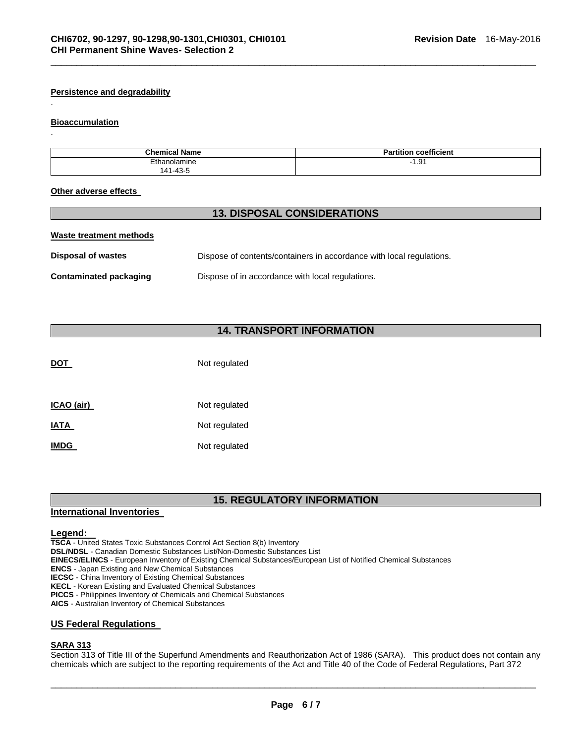#### **Persistence and degradability**

#### **Bioaccumulation**

.

.

| <b>Chemical Name</b> | coefficient<br>הכי<br>, titior<br>ы |
|----------------------|-------------------------------------|
| :thanolamine         | $\overline{\phantom{a}}$<br>1.91    |
| $141 - 43$ .         |                                     |

\_\_\_\_\_\_\_\_\_\_\_\_\_\_\_\_\_\_\_\_\_\_\_\_\_\_\_\_\_\_\_\_\_\_\_\_\_\_\_\_\_\_\_\_\_\_\_\_\_\_\_\_\_\_\_\_\_\_\_\_\_\_\_\_\_\_\_\_\_\_\_\_\_\_\_\_\_\_\_\_\_\_\_\_\_\_\_\_\_\_\_\_\_

#### **Other adverse effects**

# **13. DISPOSAL CONSIDERATIONS**

| Waste treatment methods       |                                                                      |
|-------------------------------|----------------------------------------------------------------------|
| <b>Disposal of wastes</b>     | Dispose of contents/containers in accordance with local regulations. |
| <b>Contaminated packaging</b> | Dispose of in accordance with local regulations.                     |

# **14. TRANSPORT INFORMATION**

| DOT         | Not regulated |
|-------------|---------------|
| ICAO (air)  | Not regulated |
| <b>IATA</b> | Not regulated |
| <b>IMDG</b> | Not regulated |

# **15. REGULATORY INFORMATION**

#### **International Inventories**

#### **Legend:**

**TSCA** - United States Toxic Substances Control Act Section 8(b) Inventory

**DSL/NDSL** - Canadian Domestic Substances List/Non-Domestic Substances List

**EINECS/ELINCS** - European Inventory of Existing Chemical Substances/European List of Notified Chemical Substances

**ENCS** - Japan Existing and New Chemical Substances

**IECSC** - China Inventory of Existing Chemical Substances

**KECL** - Korean Existing and Evaluated Chemical Substances

**PICCS** - Philippines Inventory of Chemicals and Chemical Substances

**AICS** - Australian Inventory of Chemical Substances

#### **US Federal Regulations**

### **SARA 313**

Section 313 of Title III of the Superfund Amendments and Reauthorization Act of 1986 (SARA). This product does not contain any chemicals which are subject to the reporting requirements of the Act and Title 40 of the Code of Federal Regulations, Part 372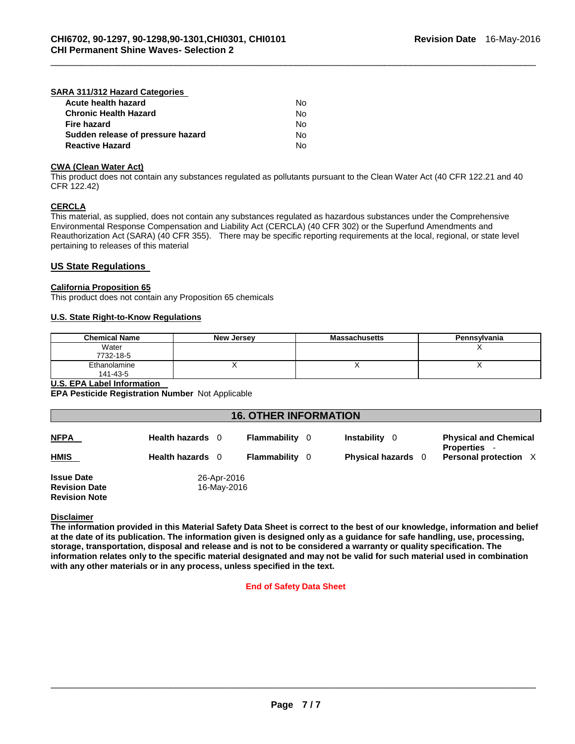## **SARA 311/312 Hazard Categories**

| Acute health hazard               | N٥ |
|-----------------------------------|----|
| <b>Chronic Health Hazard</b>      | Nο |
| <b>Fire hazard</b>                | N٥ |
| Sudden release of pressure hazard | N٥ |
| <b>Reactive Hazard</b>            | N٥ |

#### **CWA (Clean Water Act)**

This product does not contain any substances regulated as pollutants pursuant to the Clean Water Act (40 CFR 122.21 and 40 CFR 122.42)

\_\_\_\_\_\_\_\_\_\_\_\_\_\_\_\_\_\_\_\_\_\_\_\_\_\_\_\_\_\_\_\_\_\_\_\_\_\_\_\_\_\_\_\_\_\_\_\_\_\_\_\_\_\_\_\_\_\_\_\_\_\_\_\_\_\_\_\_\_\_\_\_\_\_\_\_\_\_\_\_\_\_\_\_\_\_\_\_\_\_\_\_\_

#### **CERCLA**

This material, as supplied, does not contain any substances regulated as hazardous substances under the Comprehensive Environmental Response Compensation and Liability Act (CERCLA) (40 CFR 302) or the Superfund Amendments and Reauthorization Act (SARA) (40 CFR 355). There may be specific reporting requirements at the local, regional, or state level pertaining to releases of this material

#### **US State Regulations**

#### **California Proposition 65**

This product does not contain any Proposition 65 chemicals

#### **U.S. State Right-to-Know Regulations**

| <b>Chemical Name</b> | <b>New Jersey</b> | <b>Massachusetts</b> | Pennsylvania |
|----------------------|-------------------|----------------------|--------------|
| Water                |                   |                      |              |
| 7732-18-5            |                   |                      |              |
| Ethanolamine         |                   | . .                  |              |
| 141-43-5             |                   |                      |              |

# **U.S. EPA Label Information**

**EPA Pesticide Registration Number** Not Applicable

| <b>16. OTHER INFORMATION</b>                                      |                            |                       |                           |                                                     |  |
|-------------------------------------------------------------------|----------------------------|-----------------------|---------------------------|-----------------------------------------------------|--|
| <b>NFPA</b>                                                       | Health hazards 0           | <b>Flammability</b> 0 | Instability 0             | <b>Physical and Chemical</b><br><b>Properties</b> - |  |
| <b>HMIS</b>                                                       | Health hazards 0           | <b>Flammability</b> 0 | <b>Physical hazards</b> 0 | Personal protection X                               |  |
| <b>Issue Date</b><br><b>Revision Date</b><br><b>Revision Note</b> | 26-Apr-2016<br>16-May-2016 |                       |                           |                                                     |  |

#### **Disclaimer**

**The information provided in this Material Safety Data Sheet is correct to the best of our knowledge, information and belief at the date of its publication. The information given is designed only as a guidance for safe handling, use, processing, storage, transportation, disposal and release and is not to be considered a warranty or quality specification. The information relates only to the specific material designated and may not be valid for such material used in combination with any other materials or in any process, unless specified in the text.** 

#### **End of Safety Data Sheet**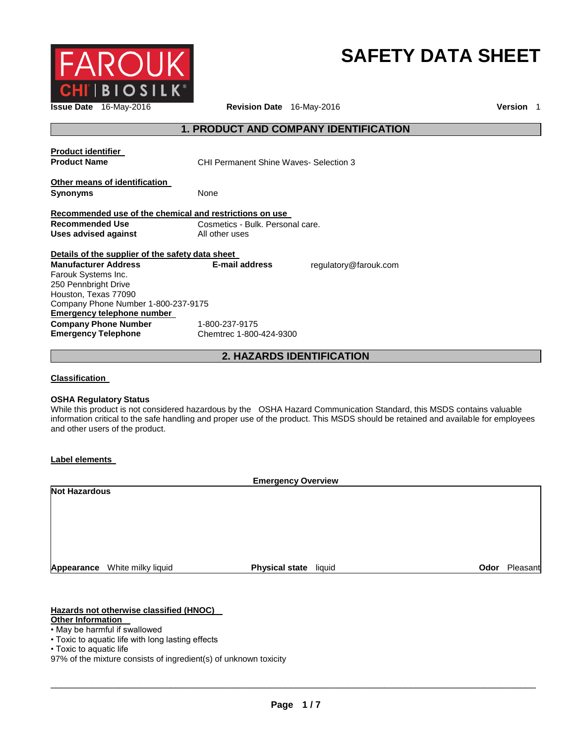

# **SAFETY DATA SHEET**

**Issue Date** 16-May-2016 **Revision Date** 16-May-2016 **Version** 1

# **1. PRODUCT AND COMPANY IDENTIFICATION**

| <b>Product identifier</b><br><b>Product Name</b>        | CHI Permanent Shine Waves- Selection 3 |                       |
|---------------------------------------------------------|----------------------------------------|-----------------------|
| Other means of identification<br><b>Synonyms</b>        | None                                   |                       |
| Recommended use of the chemical and restrictions on use |                                        |                       |
| Recommended Use                                         | Cosmetics - Bulk. Personal care.       |                       |
| Uses advised against                                    | All other uses                         |                       |
| Details of the supplier of the safety data sheet        |                                        |                       |
| <b>Manufacturer Address</b>                             | <b>E-mail address</b>                  | regulatory@farouk.com |
| Farouk Systems Inc.                                     |                                        |                       |
| 250 Pennbright Drive                                    |                                        |                       |
| Houston, Texas 77090                                    |                                        |                       |
| Company Phone Number 1-800-237-9175                     |                                        |                       |
| Emergency telephone number                              |                                        |                       |
| <b>Company Phone Number</b>                             | 1-800-237-9175                         |                       |
| <b>Emergency Telephone</b>                              | Chemtrec 1-800-424-9300                |                       |

**2. HAZARDS IDENTIFICATION** 

**Classification** 

#### **OSHA Regulatory Status**

While this product is not considered hazardous by the OSHA Hazard Communication Standard, this MSDS contains valuable information critical to the safe handling and proper use of the product. This MSDS should be retained and available for employees and other users of the product.

#### **Label elements**

| <b>Emergency Overview</b> |                      |                       |        |      |          |  |
|---------------------------|----------------------|-----------------------|--------|------|----------|--|
|                           | <b>Not Hazardous</b> |                       |        |      |          |  |
|                           |                      |                       |        |      |          |  |
|                           |                      |                       |        |      |          |  |
|                           |                      |                       |        |      |          |  |
|                           |                      |                       |        |      |          |  |
|                           |                      |                       |        |      |          |  |
| Appearance                | White milky liquid   | <b>Physical state</b> | liquid | Odor | Pleasant |  |

### **Hazards not otherwise classified (HNOC)**

#### **Other Information**

- May be harmful if swallowed
- Toxic to aquatic life with long lasting effects

<sup>•</sup> Toxic to aquatic life

<sup>97%</sup> of the mixture consists of ingredient(s) of unknown toxicity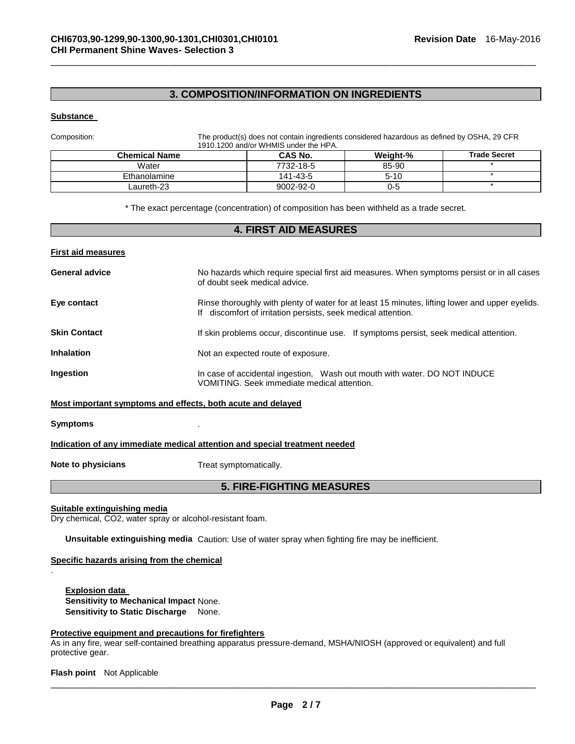# **3. COMPOSITION/INFORMATION ON INGREDIENTS**

\_\_\_\_\_\_\_\_\_\_\_\_\_\_\_\_\_\_\_\_\_\_\_\_\_\_\_\_\_\_\_\_\_\_\_\_\_\_\_\_\_\_\_\_\_\_\_\_\_\_\_\_\_\_\_\_\_\_\_\_\_\_\_\_\_\_\_\_\_\_\_\_\_\_\_\_\_\_\_\_\_\_\_\_\_\_\_\_\_\_\_\_\_

#### **Substance**

Composition: The product(s) does not contain ingredients considered hazardous as defined by OSHA, 29 CFR 1910.1200 and/or WHMIS under the HPA.

| <b>Chemical Name</b> | <b>CAS No.</b> | Weight-% | <b>Trade Secret</b> |  |  |  |
|----------------------|----------------|----------|---------------------|--|--|--|
| Water                | 7732-18-5      | 85-90    |                     |  |  |  |
| Ethanolamine         | 141-43-5       | $5 - 10$ |                     |  |  |  |
| Laureth-23           | 9002-92-0      | 0-5      |                     |  |  |  |

\* The exact percentage (concentration) of composition has been withheld as a trade secret.

# **4. FIRST AID MEASURES First aid measures General advice** No hazards which require special first aid measures. When symptoms persist or in all cases of doubt seek medical advice. **Eye contact Rinse thoroughly with plenty of water for at least 15 minutes, lifting lower and upper eyelids.** If discomfort of irritation persists, seek medical attention. **Skin Contact If skin problems occur, discontinue use.** If symptoms persist, seek medical attention. **Inhalation Inhalation Not an expected route of exposure. Ingestion In case of accidental ingestion, Wash out mouth with water. DO NOT INDUCE** VOMITING. Seek immediate medical attention. **Most important symptoms and effects, both acute and delayed**

#### **Symptoms** .

.

#### **Indication of any immediate medical attention and special treatment needed**

**Note to physicians Treat symptomatically.** 

### **5. FIRE-FIGHTING MEASURES**

#### **Suitable extinguishing media**

Dry chemical, CO2, water spray or alcohol-resistant foam.

**Unsuitable extinguishing media** Caution: Use of water spray when fighting fire may be inefficient.

#### **Specific hazards arising from the chemical**

**Explosion data Sensitivity to Mechanical Impact** None. **Sensitivity to Static Discharge** None.

#### **Protective equipment and precautions for firefighters**

As in any fire, wear self-contained breathing apparatus pressure-demand, MSHA/NIOSH (approved or equivalent) and full protective gear.

**Flash point** Not Applicable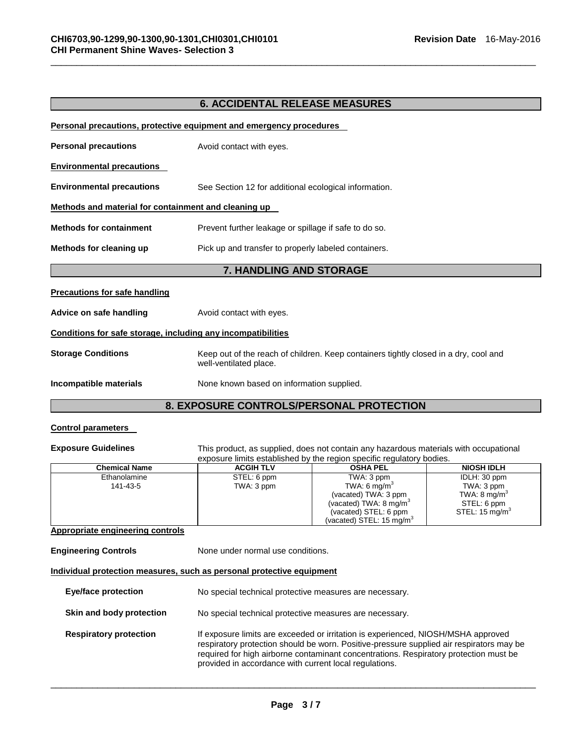# **6. ACCIDENTAL RELEASE MEASURES**

\_\_\_\_\_\_\_\_\_\_\_\_\_\_\_\_\_\_\_\_\_\_\_\_\_\_\_\_\_\_\_\_\_\_\_\_\_\_\_\_\_\_\_\_\_\_\_\_\_\_\_\_\_\_\_\_\_\_\_\_\_\_\_\_\_\_\_\_\_\_\_\_\_\_\_\_\_\_\_\_\_\_\_\_\_\_\_\_\_\_\_\_\_

|                                                              | Personal precautions, protective equipment and emergency procedures                                            |
|--------------------------------------------------------------|----------------------------------------------------------------------------------------------------------------|
| <b>Personal precautions</b>                                  | Avoid contact with eyes.                                                                                       |
| <b>Environmental precautions</b>                             |                                                                                                                |
| <b>Environmental precautions</b>                             | See Section 12 for additional ecological information.                                                          |
| Methods and material for containment and cleaning up         |                                                                                                                |
| <b>Methods for containment</b>                               | Prevent further leakage or spillage if safe to do so.                                                          |
| Methods for cleaning up                                      | Pick up and transfer to properly labeled containers.                                                           |
|                                                              |                                                                                                                |
|                                                              | 7. HANDLING AND STORAGE                                                                                        |
| <b>Precautions for safe handling</b>                         |                                                                                                                |
| Advice on safe handling                                      | Avoid contact with eyes.                                                                                       |
| Conditions for safe storage, including any incompatibilities |                                                                                                                |
| <b>Storage Conditions</b>                                    | Keep out of the reach of children. Keep containers tightly closed in a dry, cool and<br>well-ventilated place. |

# **8. EXPOSURE CONTROLS/PERSONAL PROTECTION**

## **Control parameters**

**Exposure Guidelines** This product, as supplied, does not contain any hazardous materials with occupational exposure limits established by the region specific regulatory bodies.

| <b>Chemical Name</b> | <b>ACGIH TLV</b> | <b>OSHA PEL</b>                   | <b>NIOSH IDLH</b>          |
|----------------------|------------------|-----------------------------------|----------------------------|
| Ethanolamine         | STEL: 6 ppm      | TWA: 3 ppm                        | IDLH: 30 ppm               |
| 141-43-5             | TWA: 3 ppm       | TWA: 6 mg/m <sup>3</sup>          | TWA: 3 ppm                 |
|                      |                  | (vacated) TWA: 3 ppm              | TWA: $8 \text{ mg/m}^3$    |
|                      |                  | (vacated) TWA: $8 \text{ mg/m}^3$ | STEL: 6 ppm                |
|                      |                  | (vacated) STEL: 6 ppm             | STEL: 15 mg/m <sup>3</sup> |
|                      |                  | (vacated) STEL: 15 mg/m $3$       |                            |

#### **Appropriate engineering controls**

**Engineering Controls None under normal use conditions.** 

**Individual protection measures, such as personal protective equipment**

| <b>Eye/face protection</b>    | No special technical protective measures are necessary.                                                                                                                                                                                                                                                                          |
|-------------------------------|----------------------------------------------------------------------------------------------------------------------------------------------------------------------------------------------------------------------------------------------------------------------------------------------------------------------------------|
| Skin and body protection      | No special technical protective measures are necessary.                                                                                                                                                                                                                                                                          |
| <b>Respiratory protection</b> | If exposure limits are exceeded or irritation is experienced, NIOSH/MSHA approved<br>respiratory protection should be worn. Positive-pressure supplied air respirators may be<br>required for high airborne contaminant concentrations. Respiratory protection must be<br>provided in accordance with current local regulations. |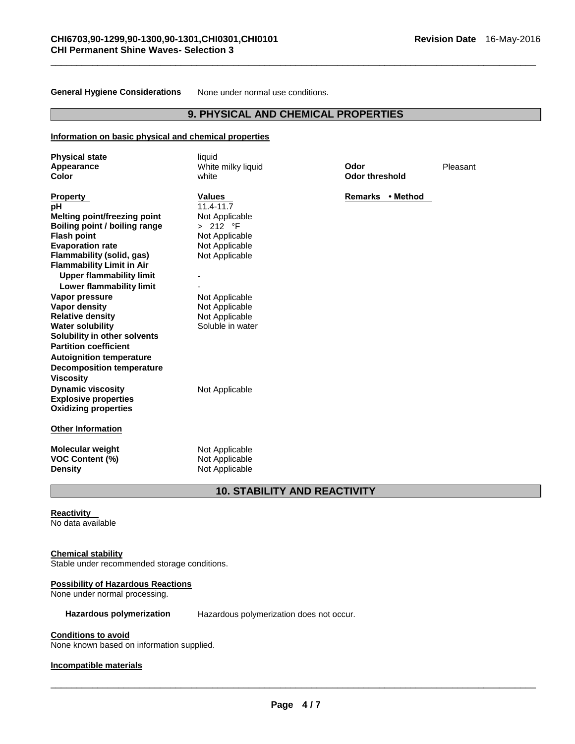**General Hygiene Considerations** None under normal use conditions.

# **9. PHYSICAL AND CHEMICAL PROPERTIES**

\_\_\_\_\_\_\_\_\_\_\_\_\_\_\_\_\_\_\_\_\_\_\_\_\_\_\_\_\_\_\_\_\_\_\_\_\_\_\_\_\_\_\_\_\_\_\_\_\_\_\_\_\_\_\_\_\_\_\_\_\_\_\_\_\_\_\_\_\_\_\_\_\_\_\_\_\_\_\_\_\_\_\_\_\_\_\_\_\_\_\_\_\_

#### **Information on basic physical and chemical properties**

| <b>Physical state</b><br>Appearance<br>Color                                                                                                                                                                                                                                        | liquid<br>White milky liquid<br>white                                                                              | Odor<br><b>Odor threshold</b> | Pleasant |
|-------------------------------------------------------------------------------------------------------------------------------------------------------------------------------------------------------------------------------------------------------------------------------------|--------------------------------------------------------------------------------------------------------------------|-------------------------------|----------|
| <b>Property</b><br>рH<br><b>Melting point/freezing point</b><br>Boiling point / boiling range<br><b>Flash point</b><br><b>Evaporation rate</b><br><b>Flammability (solid, gas)</b><br><b>Flammability Limit in Air</b><br><b>Upper flammability limit</b>                           | <b>Values</b><br>$11.4 - 11.7$<br>Not Applicable<br>> 212 °F<br>Not Applicable<br>Not Applicable<br>Not Applicable | Remarks • Method              |          |
| Lower flammability limit<br>Vapor pressure<br><b>Vapor density</b><br><b>Relative density</b><br><b>Water solubility</b><br>Solubility in other solvents<br><b>Partition coefficient</b><br><b>Autoignition temperature</b><br><b>Decomposition temperature</b><br><b>Viscosity</b> | Not Applicable<br>Not Applicable<br>Not Applicable<br>Soluble in water                                             |                               |          |
| <b>Dynamic viscosity</b><br><b>Explosive properties</b><br><b>Oxidizing properties</b>                                                                                                                                                                                              | Not Applicable                                                                                                     |                               |          |
| <b>Other Information</b>                                                                                                                                                                                                                                                            |                                                                                                                    |                               |          |
| <b>Molecular weight</b><br><b>VOC Content (%)</b><br><b>Density</b>                                                                                                                                                                                                                 | Not Applicable<br>Not Applicable<br>Not Applicable                                                                 |                               |          |

# **10. STABILITY AND REACTIVITY**

#### **Reactivity**

No data available

#### **Chemical stability**

Stable under recommended storage conditions.

# **Possibility of Hazardous Reactions**

None under normal processing.

#### **Hazardous polymerization** Hazardous polymerization does not occur.

## **Conditions to avoid**

None known based on information supplied.

#### **Incompatible materials**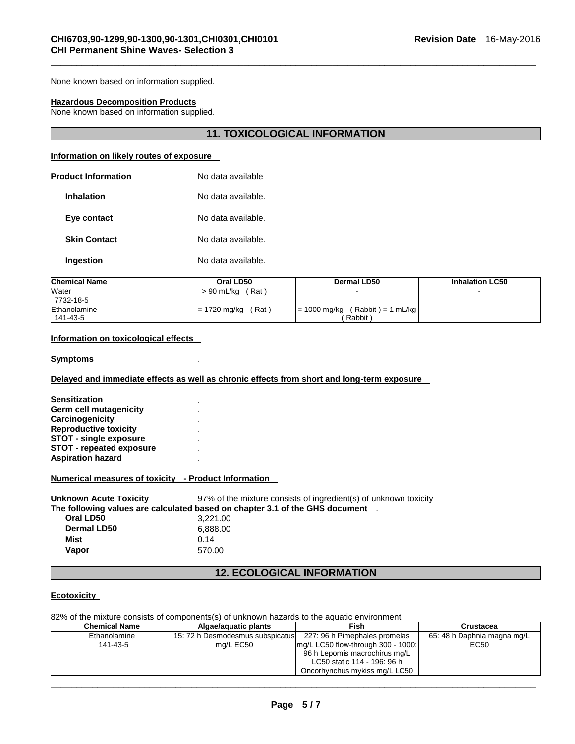None known based on information supplied.

#### **Hazardous Decomposition Products**

None known based on information supplied.

# **11. TOXICOLOGICAL INFORMATION**

\_\_\_\_\_\_\_\_\_\_\_\_\_\_\_\_\_\_\_\_\_\_\_\_\_\_\_\_\_\_\_\_\_\_\_\_\_\_\_\_\_\_\_\_\_\_\_\_\_\_\_\_\_\_\_\_\_\_\_\_\_\_\_\_\_\_\_\_\_\_\_\_\_\_\_\_\_\_\_\_\_\_\_\_\_\_\_\_\_\_\_\_\_

#### **Information on likely routes of exposure**

| No data available  |
|--------------------|
| No data available. |
| No data available. |
| No data available. |
| No data available. |
|                    |

| <b>Chemical Name</b> | Oral LD50             | Dermal LD50                            | <b>Inhalation LC50</b> |
|----------------------|-----------------------|----------------------------------------|------------------------|
| Water                | (Rat)<br>> 90 mL/kg   |                                        |                        |
| 7732-18-5            |                       |                                        |                        |
| Ethanolamine         | (Rat)<br>= 1720 mg/kg | $(Rabbit) = 1 mL/kg$<br>$= 1000$ mg/kg |                        |
| 141-43-5             |                       | Rabbit)                                |                        |

#### **Information on toxicological effects**

#### **Symptoms** .

#### **Delayed and immediate effects as well as chronic effects from short and long-term exposure**

| <b>Sensitization</b>            |  |
|---------------------------------|--|
| Germ cell mutagenicity          |  |
| Carcinogenicity                 |  |
| <b>Reproductive toxicity</b>    |  |
| <b>STOT - single exposure</b>   |  |
| <b>STOT - repeated exposure</b> |  |
| <b>Aspiration hazard</b>        |  |

#### **Numerical measures of toxicity - Product Information**

| <b>Unknown Acute Toxicity</b> | 97% of the mixture consists of ingredient(s) of unknown toxicity               |
|-------------------------------|--------------------------------------------------------------------------------|
|                               | The following values are calculated based on chapter 3.1 of the GHS document . |
| Oral LD50                     | 3.221.00                                                                       |
| <b>Dermal LD50</b>            | 6.888.00                                                                       |
| Mist                          | 0.14                                                                           |
| Vapor                         | 570.00                                                                         |

# **12. ECOLOGICAL INFORMATION**

#### **Ecotoxicity**

82% of the mixture consists of components(s) of unknown hazards to the aquatic environment

| <b>Chemical Name</b> | Algae/aguatic plants             | Fish                               | Crustacea                   |
|----------------------|----------------------------------|------------------------------------|-----------------------------|
| Ethanolamine         | 15: 72 h Desmodesmus subspicatus | 227: 96 h Pimephales promelas      | 65: 48 h Daphnia magna mg/L |
| 141-43-5             | mg/L EC50                        | mg/L LC50 flow-through 300 - 1000: | EC50                        |
|                      |                                  | 96 h Lepomis macrochirus mg/L      |                             |
|                      |                                  | LC50 static 114 - 196: 96 h        |                             |
|                      |                                  | Oncorhynchus mykiss mg/L LC50      |                             |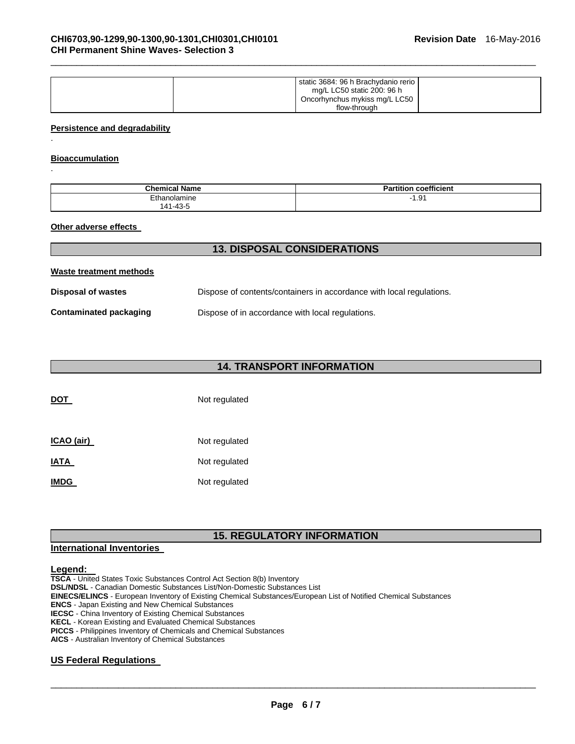| mg/L LC50 static 200: 96 h | static 3684: 96 h Brachydanio rerio<br>Oncorhynchus mykiss mg/L LC50<br>flow-through |
|----------------------------|--------------------------------------------------------------------------------------|
|                            |                                                                                      |

\_\_\_\_\_\_\_\_\_\_\_\_\_\_\_\_\_\_\_\_\_\_\_\_\_\_\_\_\_\_\_\_\_\_\_\_\_\_\_\_\_\_\_\_\_\_\_\_\_\_\_\_\_\_\_\_\_\_\_\_\_\_\_\_\_\_\_\_\_\_\_\_\_\_\_\_\_\_\_\_\_\_\_\_\_\_\_\_\_\_\_\_\_

#### **Persistence and degradability**

#### **Bioaccumulation**

.

.

| <b>Chemical Name</b>          | coefficient<br>$  -$<br>n<br>tition |
|-------------------------------|-------------------------------------|
| Ethanolamine                  | $\Omega'$<br>ו ש.ו                  |
| . 49<br>$\Lambda$ 1<br>س ب-⊔" |                                     |

#### **Other adverse effects**

| <b>13. DISPOSAL CONSIDERATIONS</b> |                                                                      |  |
|------------------------------------|----------------------------------------------------------------------|--|
| Waste treatment methods            |                                                                      |  |
| Disposal of wastes                 | Dispose of contents/containers in accordance with local regulations. |  |
| Contaminated packaging             | Dispose of in accordance with local regulations.                     |  |

# **14. TRANSPORT INFORMATION**

| <b>DOT</b>  | Not regulated |
|-------------|---------------|
| ICAO (air)  | Not regulated |
| IATA        | Not regulated |
| <b>IMDG</b> | Not regulated |

# **15. REGULATORY INFORMATION**

#### **International Inventories**

#### **Legend:**

**TSCA** - United States Toxic Substances Control Act Section 8(b) Inventory **DSL/NDSL** - Canadian Domestic Substances List/Non-Domestic Substances List **EINECS/ELINCS** - European Inventory of Existing Chemical Substances/European List of Notified Chemical Substances **ENCS** - Japan Existing and New Chemical Substances **IECSC** - China Inventory of Existing Chemical Substances **KECL** - Korean Existing and Evaluated Chemical Substances **PICCS** - Philippines Inventory of Chemicals and Chemical Substances

**AICS** - Australian Inventory of Chemical Substances

#### **US Federal Regulations**